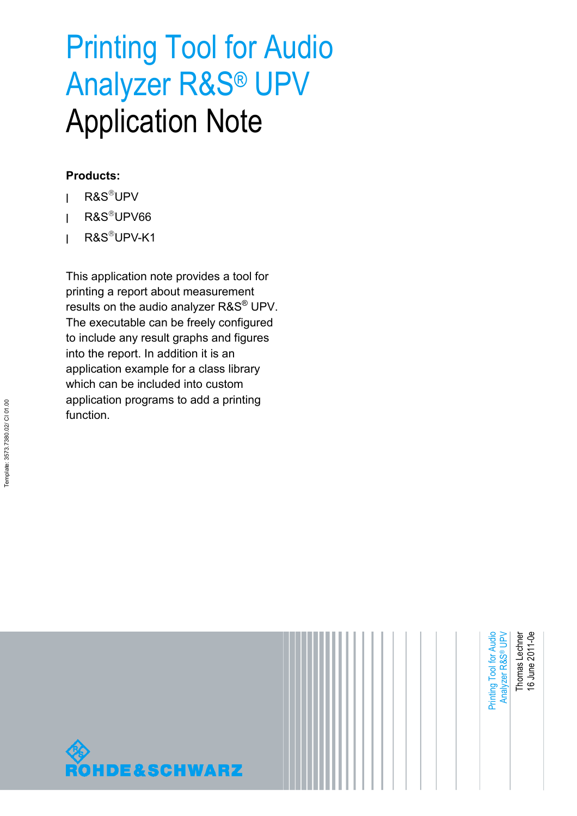# Printing Tool for Audio Analyzer R&S® UPV Application Note

#### **Products:**

- **<sup>|</sup>** R&SUPV
- **<sup>|</sup>** R&SUPV66
- **<sup>|</sup>** R&SUPV-K1

This application note provides a tool for printing a report about measurement results on the audio analyzer R&S® UPV. The executable can be freely configured to include any result graphs and figures into the report. In addition it is an application example for a class library which can be included into custom application programs to add a printing function.

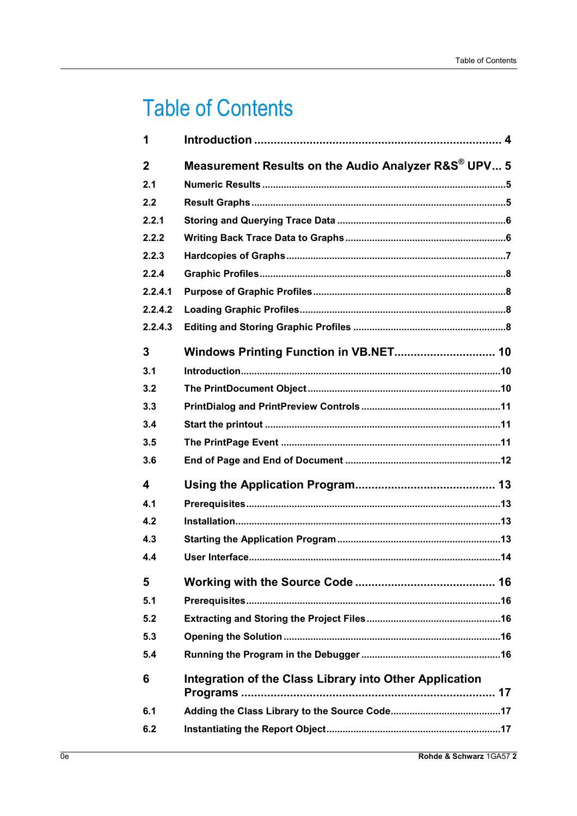## **Table of Contents**

| 1           |                                                         |
|-------------|---------------------------------------------------------|
| $\mathbf 2$ | Measurement Results on the Audio Analyzer R&S® UPV 5    |
| 2.1         |                                                         |
| 2.2         |                                                         |
| 2.2.1       |                                                         |
| 2.2.2       |                                                         |
| 2.2.3       |                                                         |
| 2.2.4       |                                                         |
| 2.2.4.1     |                                                         |
| 2.2.4.2     |                                                         |
| 2.2.4.3     |                                                         |
| 3           |                                                         |
| 3.1         |                                                         |
| 3.2         |                                                         |
| 3.3         |                                                         |
| 3.4         |                                                         |
| 3.5         |                                                         |
| 3.6         |                                                         |
| 4           |                                                         |
| 4.1         |                                                         |
| 4.2         |                                                         |
| 4.3         |                                                         |
| 4.4         |                                                         |
| 5           |                                                         |
| 5.1         |                                                         |
| 5.2         |                                                         |
| 5.3         |                                                         |
| 5.4         |                                                         |
| 6           | Integration of the Class Library into Other Application |
| 6.1         |                                                         |
| 6.2         |                                                         |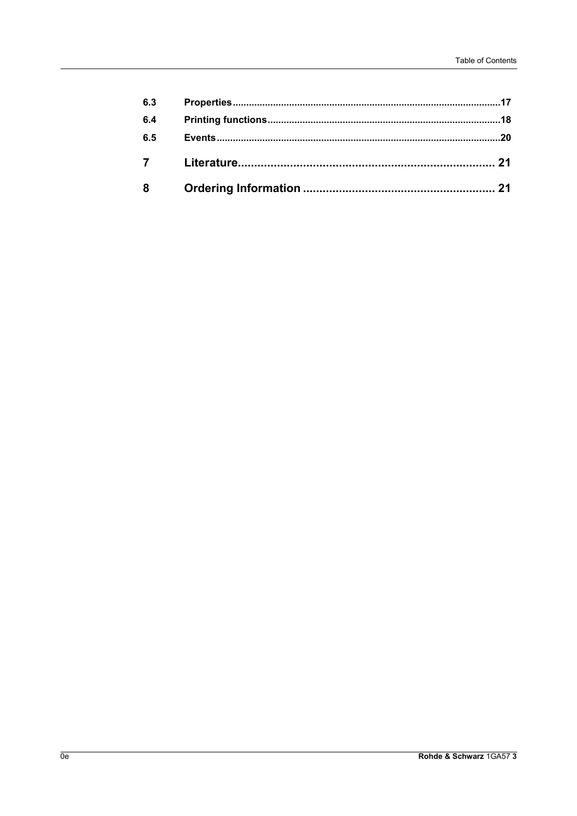| 6.3       |  |
|-----------|--|
| 6.4       |  |
| 6.5       |  |
| $7 \quad$ |  |
| 8         |  |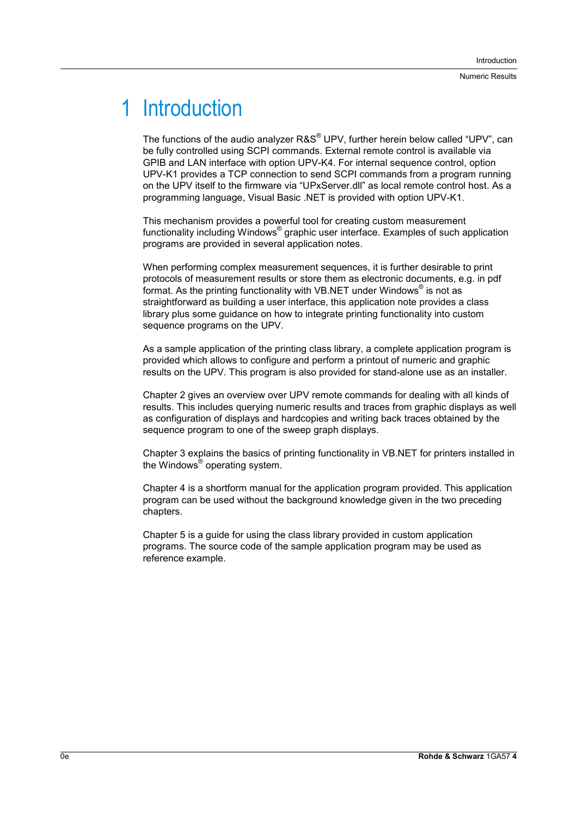## 1 Introduction

The functions of the audio analyzer R&S® UPV, further herein below called "UPV", can be fully controlled using SCPI commands. External remote control is available via GPIB and LAN interface with option UPV-K4. For internal sequence control, option UPV-K1 provides a TCP connection to send SCPI commands from a program running on the UPV itself to the firmware via "UPxServer.dll" as local remote control host. As a programming language, Visual Basic .NET is provided with option UPV-K1.

This mechanism provides a powerful tool for creating custom measurement functionality including Windows<sup>®</sup> graphic user interface. Examples of such application programs are provided in several application notes.

When performing complex measurement sequences, it is further desirable to print protocols of measurement results or store them as electronic documents, e.g. in pdf format. As the printing functionality with VB.NET under Windows<sup>®</sup> is not as straightforward as building a user interface, this application note provides a class library plus some guidance on how to integrate printing functionality into custom sequence programs on the UPV.

As a sample application of the printing class library, a complete application program is provided which allows to configure and perform a printout of numeric and graphic results on the UPV. This program is also provided for stand-alone use as an installer.

Chapter 2 gives an overview over UPV remote commands for dealing with all kinds of results. This includes querying numeric results and traces from graphic displays as well as configuration of displays and hardcopies and writing back traces obtained by the sequence program to one of the sweep graph displays.

Chapter 3 explains the basics of printing functionality in VB.NET for printers installed in the Windows® operating system.

Chapter 4 is a shortform manual for the application program provided. This application program can be used without the background knowledge given in the two preceding chapters.

Chapter 5 is a guide for using the class library provided in custom application programs. The source code of the sample application program may be used as reference example.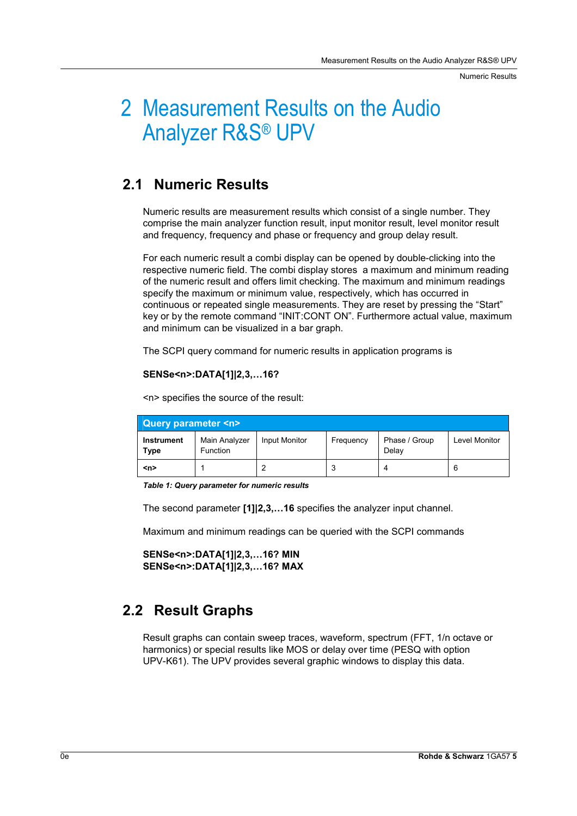Numeric Results

## 2 Measurement Results on the Audio Analyzer R&S® UPV

## **2.1 Numeric Results**

Numeric results are measurement results which consist of a single number. They comprise the main analyzer function result, input monitor result, level monitor result and frequency, frequency and phase or frequency and group delay result.

For each numeric result a combi display can be opened by double-clicking into the respective numeric field. The combi display stores a maximum and minimum reading of the numeric result and offers limit checking. The maximum and minimum readings specify the maximum or minimum value, respectively, which has occurred in continuous or repeated single measurements. They are reset by pressing the "Start" key or by the remote command "INIT:CONT ON". Furthermore actual value, maximum and minimum can be visualized in a bar graph.

The SCPI query command for numeric results in application programs is

#### **SENSe<n>:DATA[1]|2,3,…16?**

**Query parameter <n> Instrument Type**  Main Analyzer Function Input Monitor | Frequency | Phase / Group Delay Level Monitor **<n>** 1 2 3 4 6

<n> specifies the source of the result:

*Table 1: Query parameter for numeric results* 

The second parameter **[1]|2,3,…16** specifies the analyzer input channel.

Maximum and minimum readings can be queried with the SCPI commands

```
SENSe<n>:DATA[1]|2,3,…16? MIN 
SENSe<n>:DATA[1]|2,3,…16? MAX
```
### **2.2 Result Graphs**

Result graphs can contain sweep traces, waveform, spectrum (FFT, 1/n octave or harmonics) or special results like MOS or delay over time (PESQ with option UPV-K61). The UPV provides several graphic windows to display this data.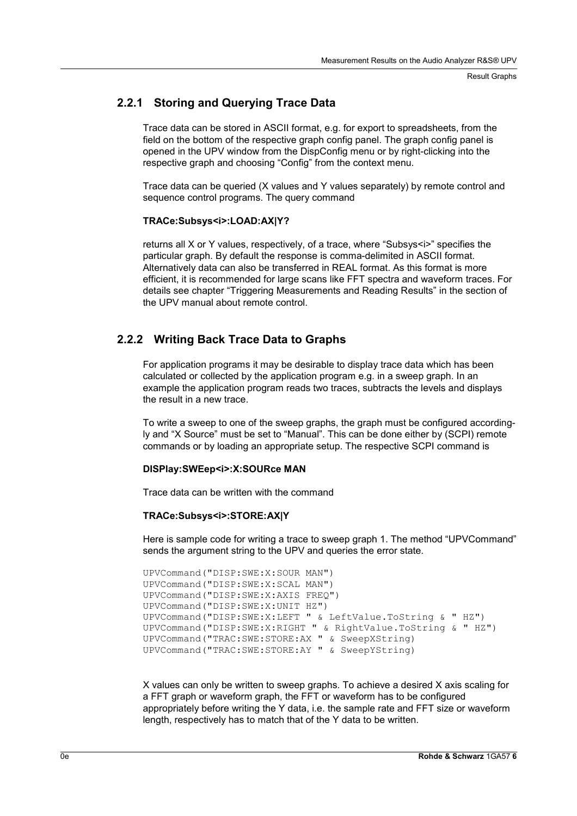#### **2.2.1 Storing and Querying Trace Data**

Trace data can be stored in ASCII format, e.g. for export to spreadsheets, from the field on the bottom of the respective graph config panel. The graph config panel is opened in the UPV window from the DispConfig menu or by right-clicking into the respective graph and choosing "Config" from the context menu.

Trace data can be queried (X values and Y values separately) by remote control and sequence control programs. The query command

#### **TRACe:Subsys<i>:LOAD:AX|Y?**

returns all X or Y values, respectively, of a trace, where "Subsys<i>" specifies the particular graph. By default the response is comma-delimited in ASCII format. Alternatively data can also be transferred in REAL format. As this format is more efficient, it is recommended for large scans like FFT spectra and waveform traces. For details see chapter "Triggering Measurements and Reading Results" in the section of the UPV manual about remote control.

#### **2.2.2 Writing Back Trace Data to Graphs**

For application programs it may be desirable to display trace data which has been calculated or collected by the application program e.g. in a sweep graph. In an example the application program reads two traces, subtracts the levels and displays the result in a new trace.

To write a sweep to one of the sweep graphs, the graph must be configured accordingly and "X Source" must be set to "Manual". This can be done either by (SCPI) remote commands or by loading an appropriate setup. The respective SCPI command is

#### **DISPlay:SWEep<i>:X:SOURce MAN**

Trace data can be written with the command

#### **TRACe:Subsys<i>:STORE:AX|Y**

Here is sample code for writing a trace to sweep graph 1. The method "UPVCommand" sends the argument string to the UPV and queries the error state.

```
UPVCommand("DISP:SWE:X:SOUR MAN") 
UPVCommand("DISP:SWE:X:SCAL MAN") 
UPVCommand("DISP:SWE:X:AXIS FREQ") 
UPVCommand("DISP:SWE:X:UNIT HZ") 
UPVCommand("DISP:SWE:X:LEFT " & LeftValue.ToString & " HZ") 
UPVCommand("DISP:SWE:X:RIGHT " & RightValue.ToString & " HZ") 
UPVCommand("TRAC:SWE:STORE:AX " & SweepXString) 
UPVCommand("TRAC:SWE:STORE:AY " & SweepYString)
```
X values can only be written to sweep graphs. To achieve a desired X axis scaling for a FFT graph or waveform graph, the FFT or waveform has to be configured appropriately before writing the Y data, i.e. the sample rate and FFT size or waveform length, respectively has to match that of the Y data to be written.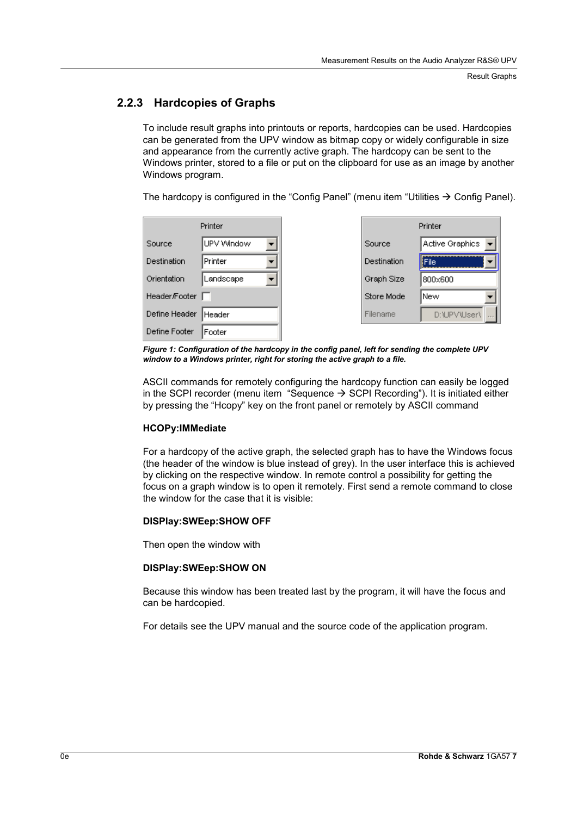#### **2.2.3 Hardcopies of Graphs**

To include result graphs into printouts or reports, hardcopies can be used. Hardcopies can be generated from the UPV window as bitmap copy or widely configurable in size and appearance from the currently active graph. The hardcopy can be sent to the Windows printer, stored to a file or put on the clipboard for use as an image by another Windows program.

The hardcopy is configured in the "Config Panel" (menu item "Utilities  $\rightarrow$  Config Panel).

|               | Printer    |                    | Printer         |
|---------------|------------|--------------------|-----------------|
| Source        | UPV Window | Source             | Active Graphics |
| Destination   | Printer    | <b>Destination</b> | liFile∶         |
| Orientation   | Landscape  | Graph Size         | 800x600         |
| Header/Footer |            | Store Mode         | New             |
| Define Header | Header     | Filename           | D:\UPV\User\    |
| Define Footer | Footer     |                    |                 |

*Figure 1: Configuration of the hardcopy in the config panel, left for sending the complete UPV window to a Windows printer, right for storing the active graph to a file.* 

ASCII commands for remotely configuring the hardcopy function can easily be logged in the SCPI recorder (menu item "Sequence  $\rightarrow$  SCPI Recording"). It is initiated either by pressing the "Hcopy" key on the front panel or remotely by ASCII command

#### **HCOPy:IMMediate**

For a hardcopy of the active graph, the selected graph has to have the Windows focus (the header of the window is blue instead of grey). In the user interface this is achieved by clicking on the respective window. In remote control a possibility for getting the focus on a graph window is to open it remotely. First send a remote command to close the window for the case that it is visible:

#### **DISPlay:SWEep:SHOW OFF**

Then open the window with

#### **DISPlay:SWEep:SHOW ON**

Because this window has been treated last by the program, it will have the focus and can be hardcopied.

For details see the UPV manual and the source code of the application program.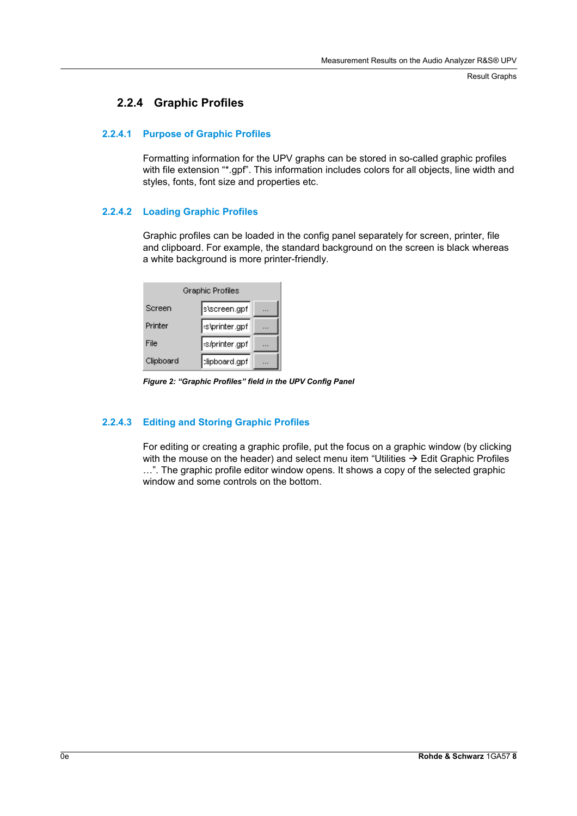#### **2.2.4 Graphic Profiles**

#### **2.2.4.1 Purpose of Graphic Profiles**

Formatting information for the UPV graphs can be stored in so-called graphic profiles with file extension "\*.gpf". This information includes colors for all objects, line width and styles, fonts, font size and properties etc.

#### **2.2.4.2 Loading Graphic Profiles**

Graphic profiles can be loaded in the config panel separately for screen, printer, file and clipboard. For example, the standard background on the screen is black whereas a white background is more printer-friendly.

| Graphic Profiles |               |  |  |
|------------------|---------------|--|--|
| Screen           | s\screen.gpf  |  |  |
| Printer          | s\printer.gpf |  |  |
| File             | s/printer.gpf |  |  |
| Clipboard        | clipboard.gpf |  |  |

*Figure 2: "Graphic Profiles" field in the UPV Config Panel* 

#### **2.2.4.3 Editing and Storing Graphic Profiles**

For editing or creating a graphic profile, put the focus on a graphic window (by clicking with the mouse on the header) and select menu item "Utilities  $\rightarrow$  Edit Graphic Profiles …". The graphic profile editor window opens. It shows a copy of the selected graphic window and some controls on the bottom.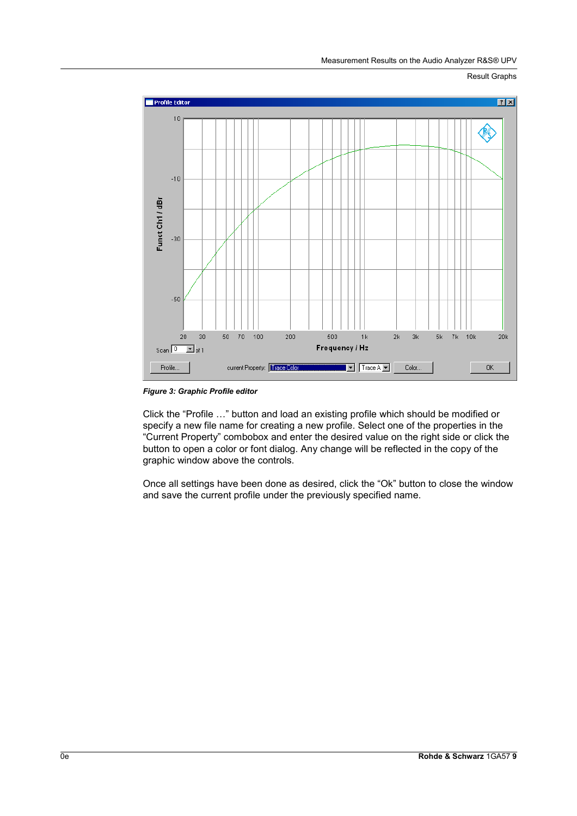

*Figure 3: Graphic Profile editor* 

Click the "Profile …" button and load an existing profile which should be modified or specify a new file name for creating a new profile. Select one of the properties in the "Current Property" combobox and enter the desired value on the right side or click the button to open a color or font dialog. Any change will be reflected in the copy of the graphic window above the controls.

Once all settings have been done as desired, click the "Ok" button to close the window and save the current profile under the previously specified name.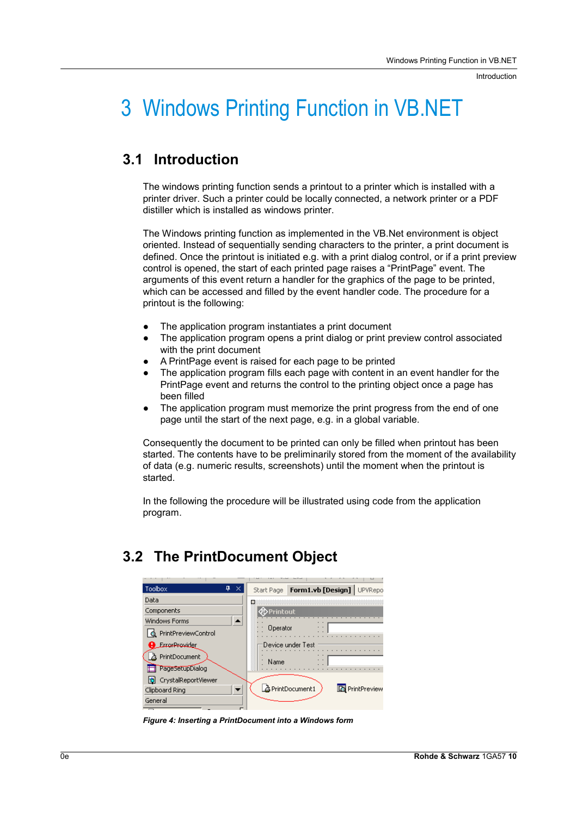Introduction

## 3 Windows Printing Function in VB.NET

## **3.1 Introduction**

The windows printing function sends a printout to a printer which is installed with a printer driver. Such a printer could be locally connected, a network printer or a PDF distiller which is installed as windows printer.

The Windows printing function as implemented in the VB.Net environment is object oriented. Instead of sequentially sending characters to the printer, a print document is defined. Once the printout is initiated e.g. with a print dialog control, or if a print preview control is opened, the start of each printed page raises a "PrintPage" event. The arguments of this event return a handler for the graphics of the page to be printed, which can be accessed and filled by the event handler code. The procedure for a printout is the following:

- The application program instantiates a print document
- The application program opens a print dialog or print preview control associated with the print document
- L A PrintPage event is raised for each page to be printed
- The application program fills each page with content in an event handler for the PrintPage event and returns the control to the printing object once a page has been filled
- The application program must memorize the print progress from the end of one page until the start of the next page, e.g. in a global variable.

Consequently the document to be printed can only be filled when printout has been started. The contents have to be preliminarily stored from the moment of the availability of data (e.g. numeric results, screenshots) until the moment when the printout is started.

In the following the procedure will be illustrated using code from the application program.

## **3.2 The PrintDocument Object**

| $4 \times$<br>Toolbox        | Form1.vb [Design] UPVRepc<br>Start Page |
|------------------------------|-----------------------------------------|
| Data                         |                                         |
| Components                   | ≮DPrintout                              |
| <b>Windows Forms</b>         |                                         |
| <b>Q</b> PrintPreviewControl | Operator                                |
| <b>B</b> ErrorProvider       | Device under Test                       |
| 츕 PrintDocument              | Name                                    |
| PageSetupDialog              |                                         |
| 5 CrystalReportViewer        |                                         |
| Clipboard Ring               | PrintDocument1<br><b>D</b> PrintPreview |
| General                      |                                         |
|                              |                                         |

*Figure 4: Inserting a PrintDocument into a Windows form*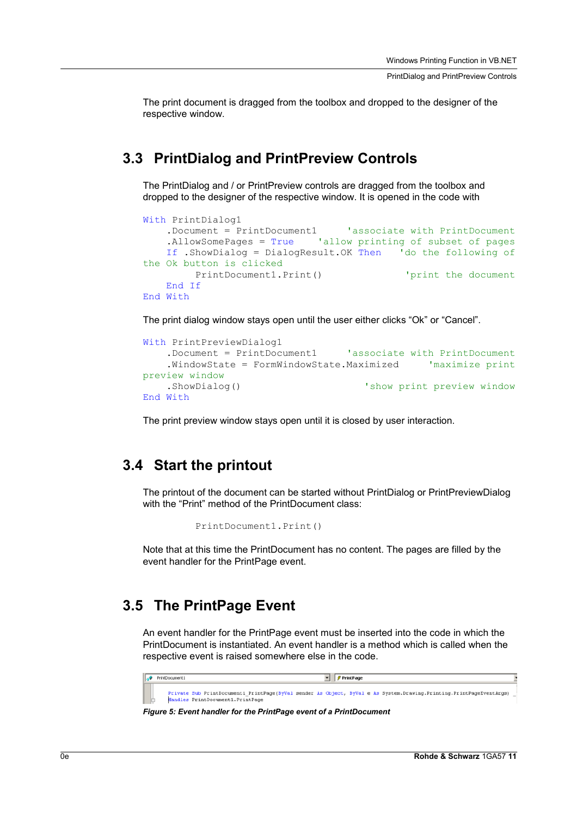PrintDialog and PrintPreview Controls

The print document is dragged from the toolbox and dropped to the designer of the respective window.

### **3.3 PrintDialog and PrintPreview Controls**

The PrintDialog and / or PrintPreview controls are dragged from the toolbox and dropped to the designer of the respective window. It is opened in the code with

```
With PrintDialog1 
   .Document = PrintDocument1 'associate with PrintDocument 
    .AllowSomePages = True 'allow printing of subset of pages
   If .ShowDialog = DialogResult.OK Then 'do the following of 
the Ok button is clicked 
        PrintDocument1.Print() \qquad \qquad 'print the document
   End If 
End With
```
The print dialog window stays open until the user either clicks "Ok" or "Cancel".

```
With PrintPreviewDialog1 
    .Document = PrintDocument1 'associate with PrintDocument 
    .WindowState = FormWindowState.Maximized 'maximize print 
preview window 
    .ShowDialog() \qquad \qquad 'show print preview window
End With
```
The print preview window stays open until it is closed by user interaction.

#### **3.4 Start the printout**

The printout of the document can be started without PrintDialog or PrintPreviewDialog with the "Print" method of the PrintDocument class:

```
PrintDocument1.Print()
```
Note that at this time the PrintDocument has no content. The pages are filled by the event handler for the PrintPage event.

#### **3.5 The PrintPage Event**

An event handler for the PrintPage event must be inserted into the code in which the PrintDocument is instantiated. An event handler is a method which is called when the respective event is raised somewhere else in the code.

| PrintDocument1                    | <b><i>S</i></b> PrintPage                                                                                           |  |
|-----------------------------------|---------------------------------------------------------------------------------------------------------------------|--|
| Handles PrintDocument1. PrintPage | Private Sub PrintDocument1 PrintPage(ByVal sender As Object, ByVal e As System.Drawing.Printing.PrintPageEventArgs) |  |

*Figure 5: Event handler for the PrintPage event of a PrintDocument*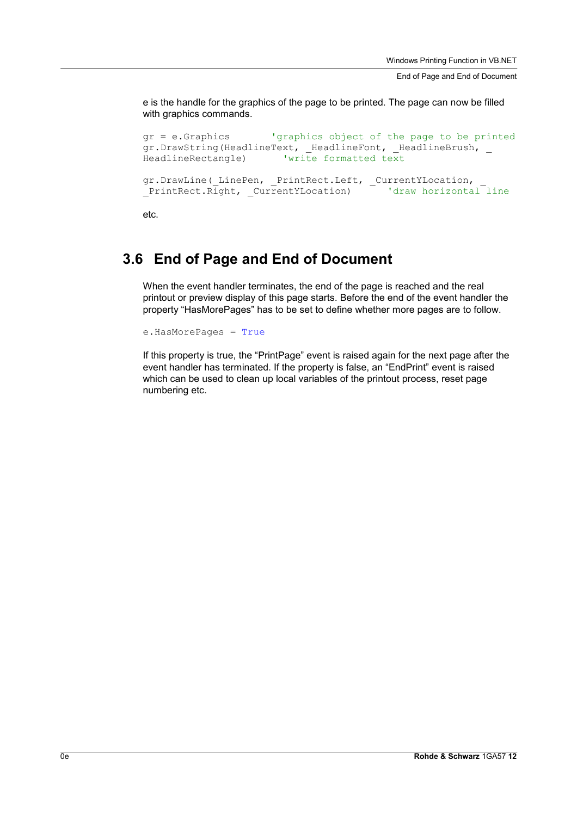End of Page and End of Document

e is the handle for the graphics of the page to be printed. The page can now be filled with graphics commands.

```
gr = e.Graphics 'graphics object of the page to be printed 
gr.DrawString(HeadlineText, _HeadlineFont, _HeadlineBrush, _ 
HeadlineRectangle) 'write formatted text
gr.DrawLine(_LinePen, _PrintRect.Left, _CurrentYLocation,
_PrintRect.Right, _CurrentYLocation) 'draw horizontal line
```
etc.

### **3.6 End of Page and End of Document**

When the event handler terminates, the end of the page is reached and the real printout or preview display of this page starts. Before the end of the event handler the property "HasMorePages" has to be set to define whether more pages are to follow.

e.HasMorePages = True

If this property is true, the "PrintPage" event is raised again for the next page after the event handler has terminated. If the property is false, an "EndPrint" event is raised which can be used to clean up local variables of the printout process, reset page numbering etc.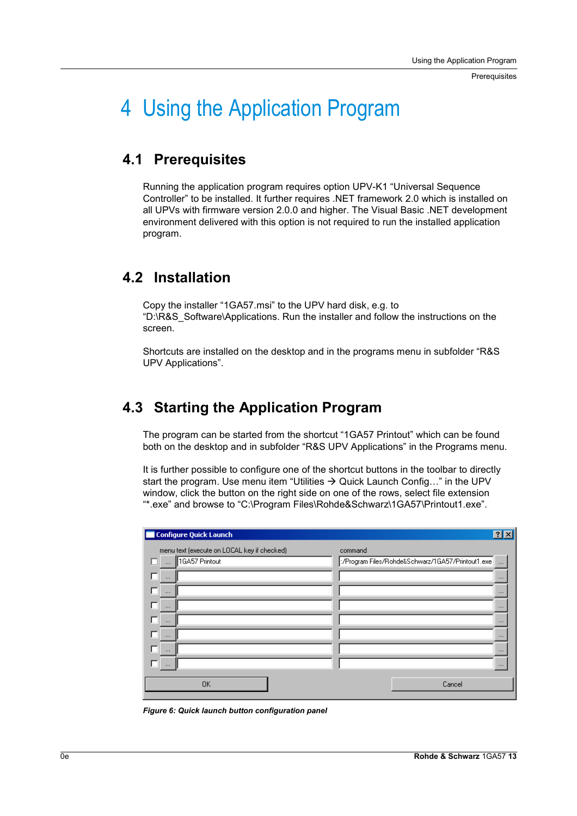Prerequisites

## 4 Using the Application Program

### **4.1 Prerequisites**

Running the application program requires option UPV-K1 "Universal Sequence Controller" to be installed. It further requires .NET framework 2.0 which is installed on all UPVs with firmware version 2.0.0 and higher. The Visual Basic .NET development environment delivered with this option is not required to run the installed application program.

### **4.2 Installation**

Copy the installer "1GA57.msi" to the UPV hard disk, e.g. to "D:\R&S\_Software\Applications. Run the installer and follow the instructions on the screen.

Shortcuts are installed on the desktop and in the programs menu in subfolder "R&S UPV Applications".

## **4.3 Starting the Application Program**

The program can be started from the shortcut "1GA57 Printout" which can be found both on the desktop and in subfolder "R&S UPV Applications" in the Programs menu.

It is further possible to configure one of the shortcut buttons in the toolbar to directly start the program. Use menu item "Utilities  $\rightarrow$  Quick Launch Config..." in the UPV window, click the button on the right side on one of the rows, select file extension "\*.exe" and browse to "C:\Program Files\Rohde&Schwarz\1GA57\Printout1.exe".

| Configure Quick Launch                      | $ ?  \times  $                                                 |
|---------------------------------------------|----------------------------------------------------------------|
| menu text (execute on LOCAL key if checked) | command                                                        |
| 1GA57 Printout<br>$\Box$                    | ./Program Files/Rohde&Schwarz/1GA57/Printout1.exe│<br>$\cdots$ |
| $\cdots$                                    | $\cdots$                                                       |
| $\cdots$                                    | $\cdots$                                                       |
| $\cdots$                                    | $\cdots$                                                       |
| $\cdots$                                    | $\cdots$                                                       |
| $\cdots$                                    | $\cdots$                                                       |
| $\cdots$                                    | $\cdots$                                                       |
| $\cdots$                                    | $\cdots$                                                       |
| <b>OK</b>                                   | Cancel                                                         |

*Figure 6: Quick launch button configuration panel*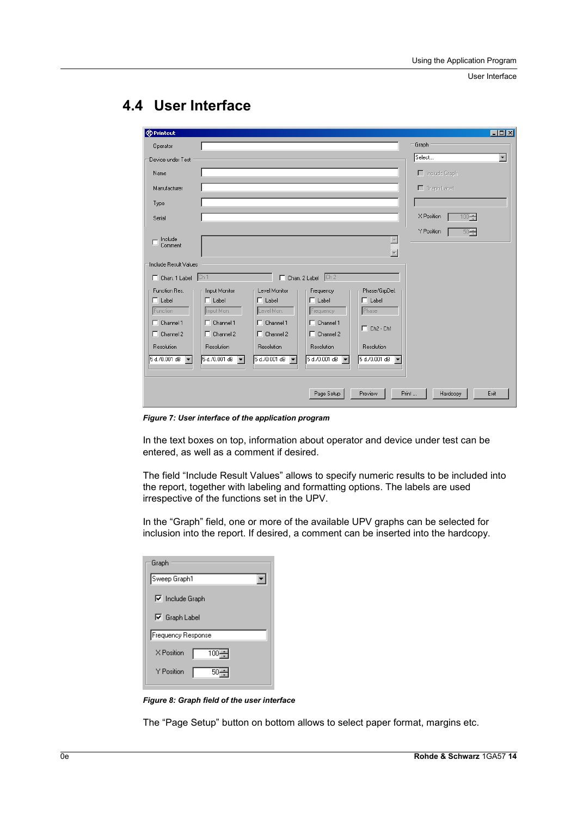User Interface

| <b>Exprintout</b>                                                                         |                                                           |                                                      |                                                                |                                                        |                       | $ \Box$ $\times$         |
|-------------------------------------------------------------------------------------------|-----------------------------------------------------------|------------------------------------------------------|----------------------------------------------------------------|--------------------------------------------------------|-----------------------|--------------------------|
| Operator                                                                                  |                                                           |                                                      |                                                                |                                                        | Graph                 |                          |
| Device under Test                                                                         |                                                           |                                                      |                                                                |                                                        | Select                | $\overline{\phantom{a}}$ |
| Name                                                                                      |                                                           |                                                      |                                                                |                                                        | $\Box$ Include Graph  |                          |
| Manufacturer                                                                              |                                                           |                                                      |                                                                |                                                        | $\Gamma$ Graph Label  |                          |
| Type                                                                                      |                                                           |                                                      |                                                                |                                                        |                       |                          |
| Serial                                                                                    |                                                           |                                                      |                                                                |                                                        | X Position<br>$100 -$ |                          |
|                                                                                           |                                                           |                                                      |                                                                |                                                        | Y Position<br>$50 -$  |                          |
| Include<br>г<br>Comment                                                                   |                                                           |                                                      |                                                                | $\blacktriangle$<br>$\overline{\phantom{a}}$           |                       |                          |
| Include Result Values<br>Chan. 1 Label Ch 1<br>-Function Res.<br>$\Box$ Label<br>Function | Input Monitor<br>$\Box$ Label<br>Input Mon.               | Level Monitor<br>$\Box$ Label<br>Level Mon.          | Chan, 2 Label Ch 2<br>Frequency<br>$\Gamma$ Label<br>Frequency | Phase/GrpDel.<br>$\Box$ Label<br>Phase                 |                       |                          |
| Channel 1<br>п<br>$\Box$ Channel 2<br>Resolution                                          | $\Box$ Channel 1<br>$\Box$ Channel 2<br><b>Resolution</b> | $\Gamma$ Channel 1<br>$\Box$ Channel 2<br>Resolution | $\Gamma$ Channel 1<br>$\Box$ Channel 2<br><b>Resolution</b>    | $\Box$ Ch <sub>2</sub> - Ch <sub>1</sub><br>Resolution |                       |                          |
| 5 d./0.001 dB                                                                             | 5 d./0.001 dB                                             | 5 d./0.001 dB<br>$\overline{\phantom{a}}$            | 5 d./0.001 dB                                                  | 5 d./0.001 dB                                          |                       |                          |
|                                                                                           |                                                           |                                                      | Page Setup                                                     | Preview                                                | Print<br>Hardcopy     | Exit                     |

## **4.4 User Interface**

*Figure 7: User interface of the application program* 

In the text boxes on top, information about operator and device under test can be entered, as well as a comment if desired.

The field "Include Result Values" allows to specify numeric results to be included into the report, together with labeling and formatting options. The labels are used irrespective of the functions set in the UPV.

In the "Graph" field, one or more of the available UPV graphs can be selected for inclusion into the report. If desired, a comment can be inserted into the hardcopy.

| Graph                                          |
|------------------------------------------------|
| Sweep Graph1                                   |
| $\nabla$ Include Graph<br>$\nabla$ Graph Label |
| Frequency Response                             |
| X Position<br>$100 - 1$                        |
| Y Position<br>50                               |

*Figure 8: Graph field of the user interface* 

The "Page Setup" button on bottom allows to select paper format, margins etc.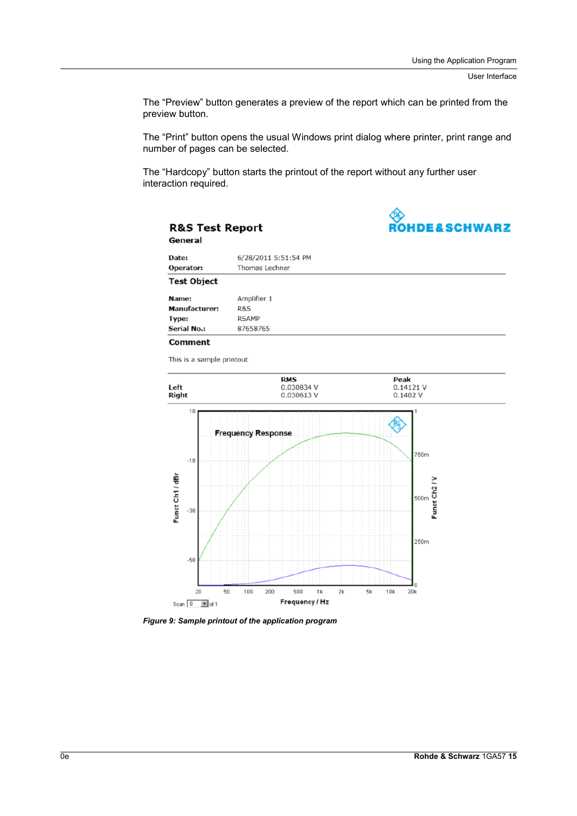The "Preview" button generates a preview of the report which can be printed from the preview button.

The "Print" button opens the usual Windows print dialog where printer, print range and number of pages can be selected.

The "Hardcopy" button starts the printout of the report without any further user interaction required.



| General              |                      |  |
|----------------------|----------------------|--|
| Date:                | 6/28/2011 5:51:54 PM |  |
| Operator:            | Thomas Lechner       |  |
| <b>Test Object</b>   |                      |  |
| Name:                | Amplifier 1          |  |
| <b>Manufacturer:</b> | R&S                  |  |
| Type:                | <b>RSAMP</b>         |  |
| <b>Serial No.:</b>   | 87658765             |  |
| Comment              |                      |  |

This is a sample printout

**R&S Test Report** 



*Figure 9: Sample printout of the application program*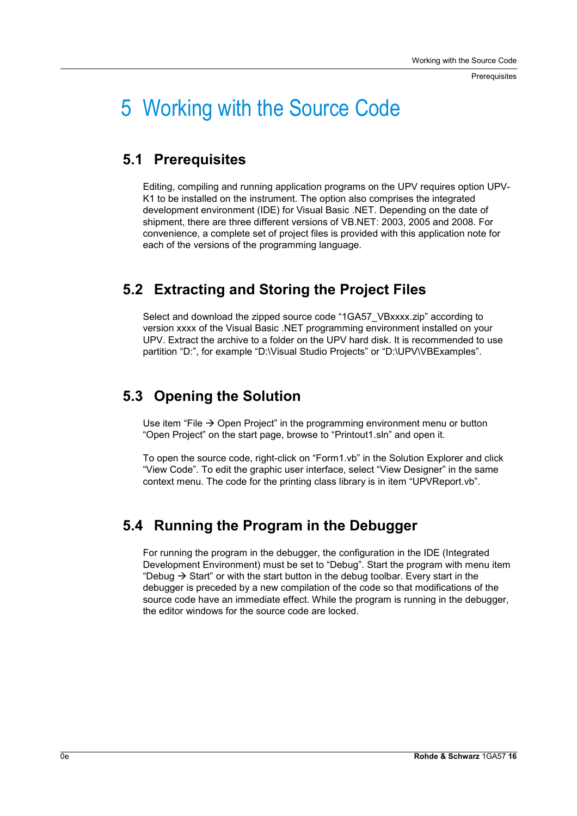**Prerequisites** 

## 5 Working with the Source Code

### **5.1 Prerequisites**

Editing, compiling and running application programs on the UPV requires option UPV-K1 to be installed on the instrument. The option also comprises the integrated development environment (IDE) for Visual Basic .NET. Depending on the date of shipment, there are three different versions of VB.NET: 2003, 2005 and 2008. For convenience, a complete set of project files is provided with this application note for each of the versions of the programming language.

## **5.2 Extracting and Storing the Project Files**

Select and download the zipped source code "1GA57\_VBxxxx.zip" according to version xxxx of the Visual Basic .NET programming environment installed on your UPV. Extract the archive to a folder on the UPV hard disk. It is recommended to use partition "D:", for example "D:\Visual Studio Projects" or "D:\UPV\VBExamples".

## **5.3 Opening the Solution**

Use item "File  $\rightarrow$  Open Project" in the programming environment menu or button "Open Project" on the start page, browse to "Printout1.sln" and open it.

To open the source code, right-click on "Form1.vb" in the Solution Explorer and click "View Code". To edit the graphic user interface, select "View Designer" in the same context menu. The code for the printing class library is in item "UPVReport.vb".

## **5.4 Running the Program in the Debugger**

For running the program in the debugger, the configuration in the IDE (Integrated Development Environment) must be set to "Debug". Start the program with menu item "Debug  $\rightarrow$  Start" or with the start button in the debug toolbar. Every start in the debugger is preceded by a new compilation of the code so that modifications of the source code have an immediate effect. While the program is running in the debugger, the editor windows for the source code are locked.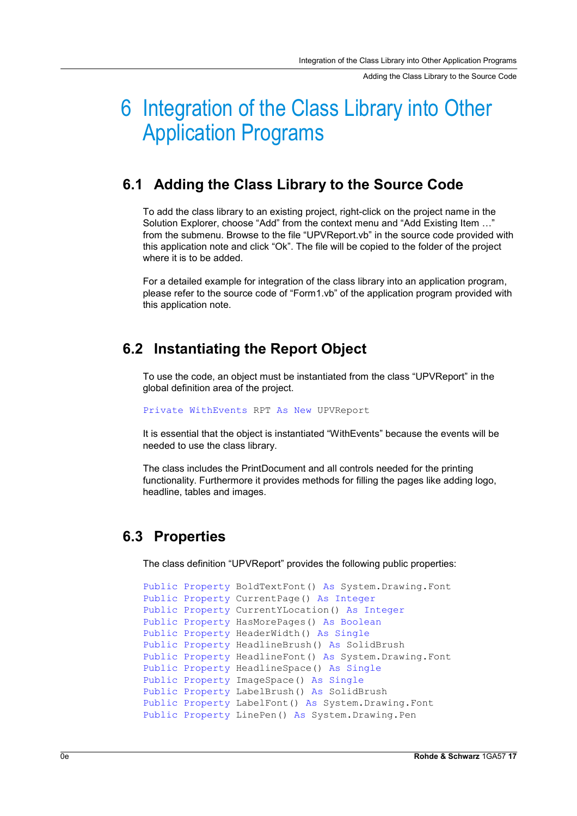Adding the Class Library to the Source Code

## 6 Integration of the Class Library into Other Application Programs

### **6.1 Adding the Class Library to the Source Code**

To add the class library to an existing project, right-click on the project name in the Solution Explorer, choose "Add" from the context menu and "Add Existing Item …" from the submenu. Browse to the file "UPVReport.vb" in the source code provided with this application note and click "Ok". The file will be copied to the folder of the project where it is to be added.

For a detailed example for integration of the class library into an application program, please refer to the source code of "Form1.vb" of the application program provided with this application note.

### **6.2 Instantiating the Report Object**

To use the code, an object must be instantiated from the class "UPVReport" in the global definition area of the project.

Private WithEvents RPT As New UPVReport

It is essential that the object is instantiated "WithEvents" because the events will be needed to use the class library.

The class includes the PrintDocument and all controls needed for the printing functionality. Furthermore it provides methods for filling the pages like adding logo, headline, tables and images.

#### **6.3 Properties**

The class definition "UPVReport" provides the following public properties:

```
Public Property BoldTextFont() As System.Drawing.Font
Public Property CurrentPage() As Integer 
Public Property CurrentYLocation() As Integer 
Public Property HasMorePages() As Boolean 
Public Property HeaderWidth() As Single 
Public Property HeadlineBrush() As SolidBrush
Public Property HeadlineFont() As System.Drawing.Font 
Public Property HeadlineSpace() As Single 
Public Property ImageSpace() As Single 
Public Property LabelBrush() As SolidBrush 
Public Property LabelFont() As System.Drawing.Font 
Public Property LinePen() As System. Drawing. Pen
```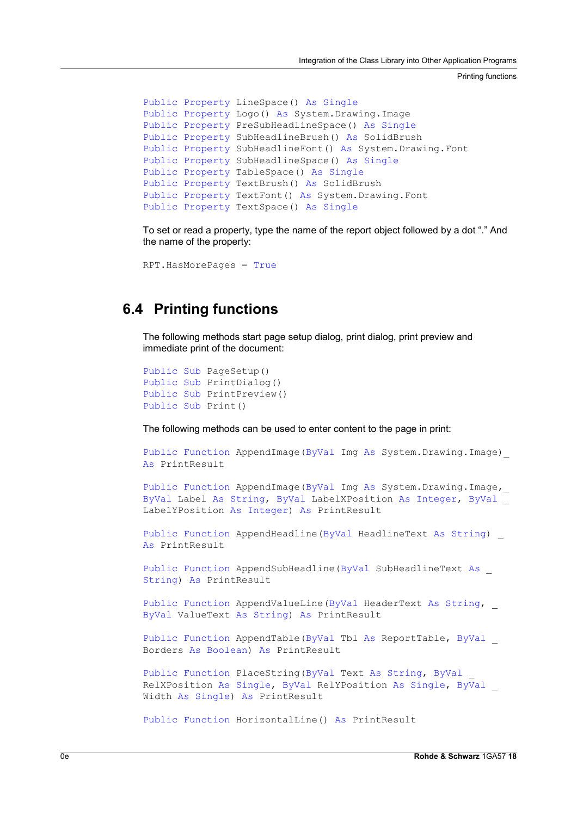Printing functions

```
Public Property LineSpace() As Single
Public Property Logo() As System.Drawing.Image 
Public Property PreSubHeadlineSpace() As Single 
Public Property SubHeadlineBrush() As SolidBrush 
Public Property SubHeadlineFont() As System.Drawing.Font 
Public Property SubHeadlineSpace() As Single 
Public Property TableSpace() As Single 
Public Property TextBrush() As SolidBrush 
Public Property TextFont() As System.Drawing.Font 
Public Property TextSpace() As Single
```
To set or read a property, type the name of the report object followed by a dot "." And the name of the property:

```
RPT.HasMorePages = True
```
### **6.4 Printing functions**

The following methods start page setup dialog, print dialog, print preview and immediate print of the document:

```
Public Sub PageSetup() 
Public Sub PrintDialog() 
Public Sub PrintPreview() 
Public Sub Print()
```
The following methods can be used to enter content to the page in print:

```
Public Function AppendImage(ByVal Img As System.Drawing.Image)_ 
As PrintResult
```

```
Public Function AppendImage(ByVal Img As System.Drawing.Image,_ 
ByVal Label As String, ByVal LabelXPosition As Integer, ByVal _ 
LabelYPosition As Integer) As PrintResult
```

```
Public Function AppendHeadline(ByVal HeadlineText As String) _
As PrintResult
```
Public Function AppendSubHeadline(ByVal SubHeadlineText As \_ String) As PrintResult

Public Function AppendValueLine(ByVal HeaderText As String, ByVal ValueText As String) As PrintResult

```
Public Function AppendTable(ByVal Tbl As ReportTable, ByVal _ 
Borders As Boolean) As PrintResult
```
Public Function PlaceString(ByVal Text As String, ByVal \_ RelXPosition As Single, ByVal RelYPosition As Single, ByVal \_ Width As Single) As PrintResult

```
Public Function HorizontalLine() As PrintResult
```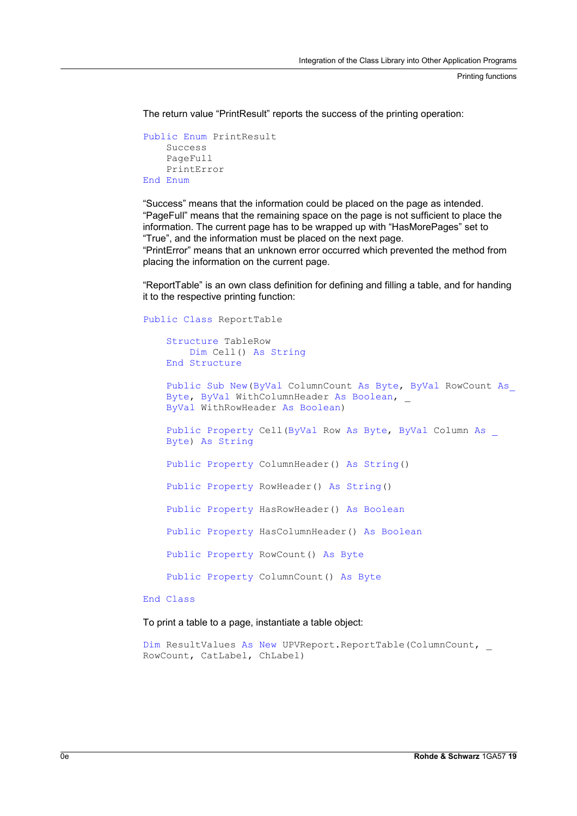Printing functions

The return value "PrintResult" reports the success of the printing operation:

```
Public Enum PrintResult 
    Success 
    PageFull 
    PrintError 
End Enum
```
"Success" means that the information could be placed on the page as intended. "PageFull" means that the remaining space on the page is not sufficient to place the information. The current page has to be wrapped up with "HasMorePages" set to "True", and the information must be placed on the next page.

"PrintError" means that an unknown error occurred which prevented the method from placing the information on the current page.

"ReportTable" is an own class definition for defining and filling a table, and for handing it to the respective printing function:

Public Class ReportTable

```
Structure TableRow 
    Dim Cell() As String 
End Structure
```

```
Public Sub New(ByVal ColumnCount As Byte, ByVal RowCount As_
Byte, ByVal WithColumnHeader As Boolean, _
ByVal WithRowHeader As Boolean)
```
Public Property Cell(ByVal Row As Byte, ByVal Column As \_ Byte) As String

Public Property ColumnHeader() As String()

Public Property RowHeader() As String()

Public Property HasRowHeader() As Boolean

Public Property HasColumnHeader() As Boolean

Public Property RowCount() As Byte

Public Property ColumnCount() As Byte

End Class

To print a table to a page, instantiate a table object:

Dim ResultValues As New UPVReport.ReportTable(ColumnCount, RowCount, CatLabel, ChLabel)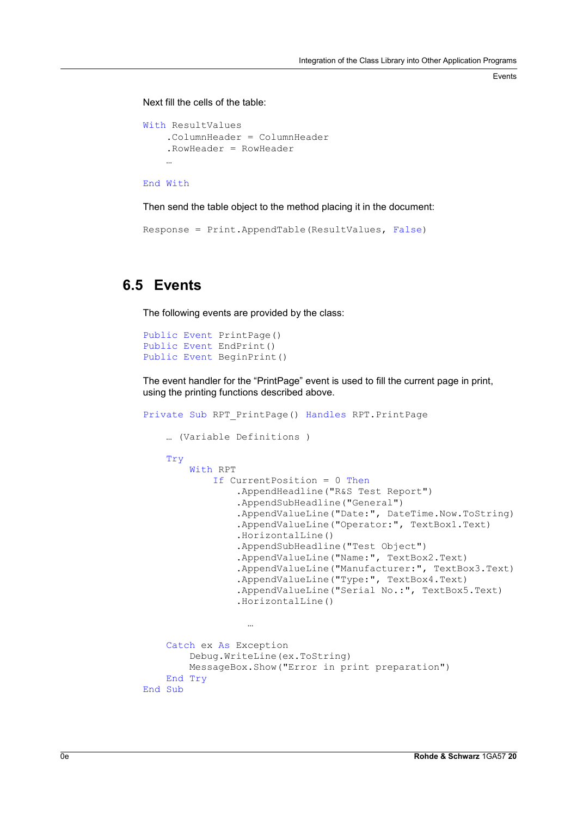Events

Next fill the cells of the table:

```
With ResultValues 
    .ColumnHeader = ColumnHeader 
    .RowHeader = RowHeader 
    …
```

```
End With
```
Then send the table object to the method placing it in the document:

Response = Print.AppendTable(ResultValues, False)

### **6.5 Events**

The following events are provided by the class:

```
Public Event PrintPage() 
Public Event EndPrint() 
Public Event BeginPrint()
```
The event handler for the "PrintPage" event is used to fill the current page in print, using the printing functions described above.

```
Private Sub RPT_PrintPage() Handles RPT.PrintPage 
    … (Variable Definitions ) 
    Try 
        With RPT 
            If CurrentPosition = 0 Then
                 .AppendHeadline("R&S Test Report") 
                 .AppendSubHeadline("General") 
                 .AppendValueLine("Date:", DateTime.Now.ToString) 
                 .AppendValueLine("Operator:", TextBox1.Text) 
                 .HorizontalLine() 
                 .AppendSubHeadline("Test Object") 
                 .AppendValueLine("Name:", TextBox2.Text) 
                 .AppendValueLine("Manufacturer:", TextBox3.Text) 
                 .AppendValueLine("Type:", TextBox4.Text) 
                 .AppendValueLine("Serial No.:", TextBox5.Text) 
                 .HorizontalLine() 
                  …
    Catch ex As Exception 
        Debug.WriteLine(ex.ToString) 
        MessageBox.Show("Error in print preparation") 
    End Try 
End Sub
```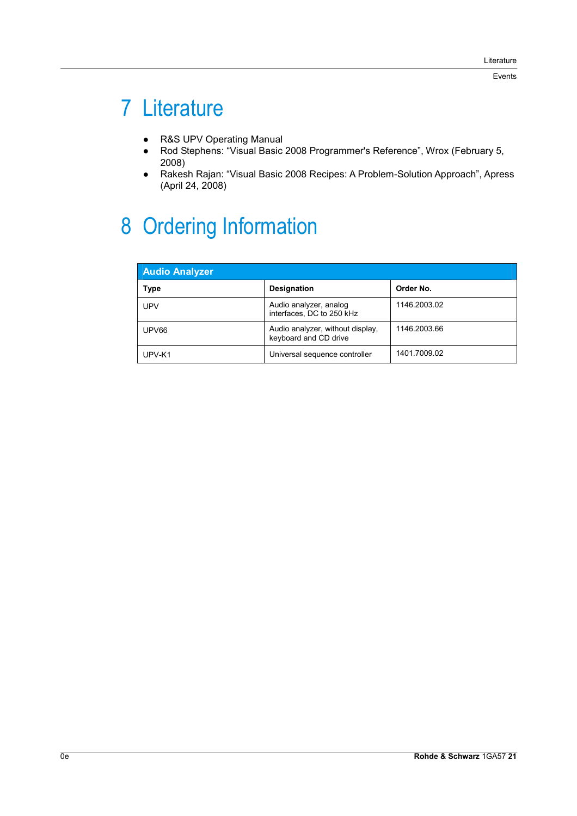## 7 Literature

- R&S UPV Operating Manual
- Rod Stephens: "Visual Basic 2008 Programmer's Reference", Wrox (February 5, 2008)
- Rakesh Rajan: "Visual Basic 2008 Recipes: A Problem-Solution Approach", Apress (April 24, 2008)

## 8 Ordering Information

| <b>Audio Analyzer</b> |                                                           |              |  |  |
|-----------------------|-----------------------------------------------------------|--------------|--|--|
| Type                  | <b>Designation</b>                                        | Order No.    |  |  |
| <b>UPV</b>            | Audio analyzer, analog<br>interfaces, DC to 250 kHz       | 1146.2003.02 |  |  |
| UPV66                 | Audio analyzer, without display,<br>keyboard and CD drive | 1146.2003.66 |  |  |
| UPV-K1                | Universal sequence controller                             | 1401.7009.02 |  |  |